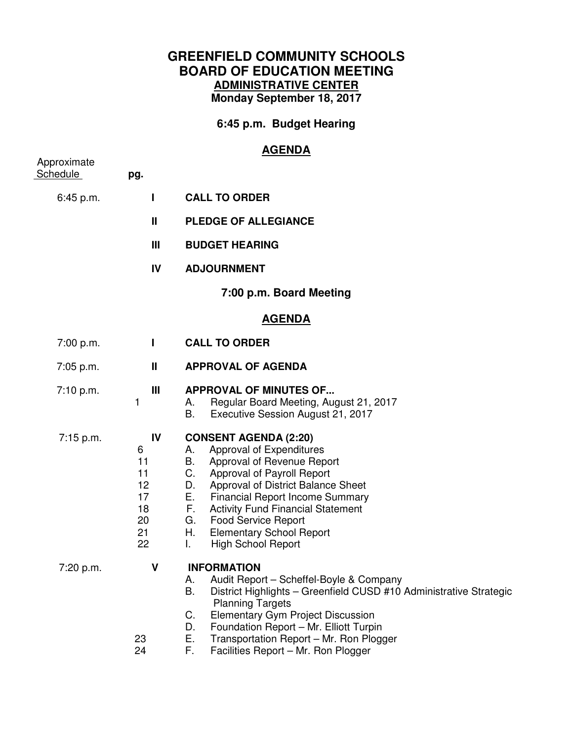## **GREENFIELD COMMUNITY SCHOOLS BOARD OF EDUCATION MEETING ADMINISTRATIVE CENTER Monday September 18, 2017**

**6:45 p.m. Budget Hearing** 

## **AGENDA**

| Approximate<br>Schedule | pg.                                                     |                                                                                                                                                                                                                                                                                                                                                                                                |
|-------------------------|---------------------------------------------------------|------------------------------------------------------------------------------------------------------------------------------------------------------------------------------------------------------------------------------------------------------------------------------------------------------------------------------------------------------------------------------------------------|
| 6:45 p.m.               | L                                                       | <b>CALL TO ORDER</b>                                                                                                                                                                                                                                                                                                                                                                           |
|                         | $\mathbf{I}$                                            | <b>PLEDGE OF ALLEGIANCE</b>                                                                                                                                                                                                                                                                                                                                                                    |
|                         | III                                                     | <b>BUDGET HEARING</b>                                                                                                                                                                                                                                                                                                                                                                          |
|                         | IV                                                      | <b>ADJOURNMENT</b>                                                                                                                                                                                                                                                                                                                                                                             |
|                         |                                                         | 7:00 p.m. Board Meeting                                                                                                                                                                                                                                                                                                                                                                        |
|                         |                                                         | <b>AGENDA</b>                                                                                                                                                                                                                                                                                                                                                                                  |
| 7:00 p.m.               | $\mathbf{I}$                                            | <b>CALL TO ORDER</b>                                                                                                                                                                                                                                                                                                                                                                           |
| 7:05 p.m.               | Ш                                                       | <b>APPROVAL OF AGENDA</b>                                                                                                                                                                                                                                                                                                                                                                      |
| 7:10 p.m.               | Ш<br>1                                                  | <b>APPROVAL OF MINUTES OF</b><br>Regular Board Meeting, August 21, 2017<br>А.<br>B.<br>Executive Session August 21, 2017                                                                                                                                                                                                                                                                       |
| 7:15 p.m.               | IV<br>6<br>11<br>11<br>12<br>17<br>18<br>20<br>21<br>22 | <b>CONSENT AGENDA (2:20)</b><br>Approval of Expenditures<br>А.<br>B. Approval of Revenue Report<br>C. Approval of Payroll Report<br>Approval of District Balance Sheet<br>D.<br>E.<br><b>Financial Report Income Summary</b><br>F.<br><b>Activity Fund Financial Statement</b><br><b>Food Service Report</b><br>G.<br><b>Elementary School Report</b><br>H.<br>T.<br><b>High School Report</b> |
| 7:20 p.m.               | V<br>23<br>24                                           | <b>INFORMATION</b><br>Audit Report - Scheffel-Boyle & Company<br>А.<br>District Highlights - Greenfield CUSD #10 Administrative Strategic<br>В.<br><b>Planning Targets</b><br><b>Elementary Gym Project Discussion</b><br>C.<br>D.<br>Foundation Report - Mr. Elliott Turpin<br>Ε.<br>Transportation Report - Mr. Ron Plogger<br>F.<br>Facilities Report - Mr. Ron Plogger                     |